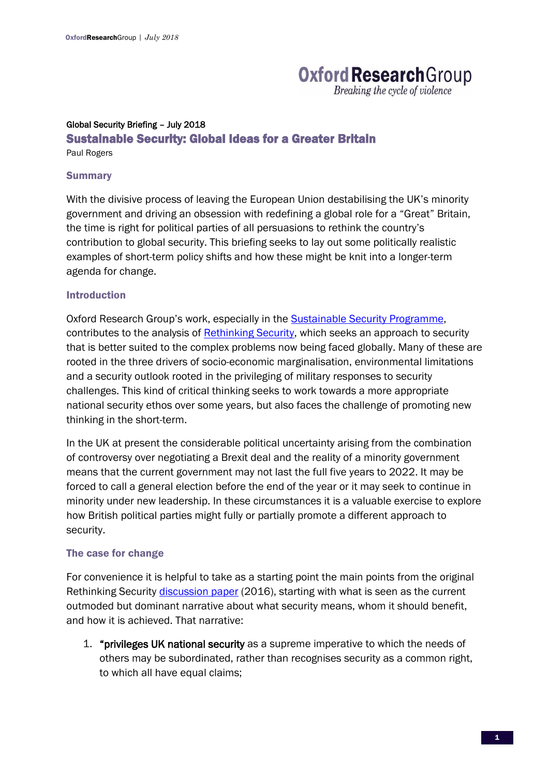# **Oxford Research Group**

Breaking the cycle of violence

# Global Security Briefing – July 2018 Sustainable Security: Global Ideas for a Greater Britain

Paul Rogers

### **Summary**

With the divisive process of leaving the European Union destabilising the UK's minority government and driving an obsession with redefining a global role for a "Great" Britain, the time is right for political parties of all persuasions to rethink the country's contribution to global security. This briefing seeks to lay out some politically realistic examples of short-term policy shifts and how these might be knit into a longer-term agenda for change.

### Introduction

Oxford Research Group's work, especially in the [Sustainable Security Programme,](https://www.oxfordresearchgroup.org.uk/Pages/Category/sustainable-security) contributes to the analysis of [Rethinking Security,](file:///C:/Users/R/AppData/Local/Microsoft/Windows/Temporary%20Internet%20Files/Content.Outlook/ESWEIBTE/Rethinking%20Security) which seeks an approach to security that is better suited to the complex problems now being faced globally. Many of these are rooted in the three drivers of socio-economic marginalisation, environmental limitations and a security outlook rooted in the privileging of military responses to security challenges. This kind of critical thinking seeks to work towards a more appropriate national security ethos over some years, but also faces the challenge of promoting new thinking in the short-term.

In the UK at present the considerable political uncertainty arising from the combination of controversy over negotiating a Brexit deal and the reality of a minority government means that the current government may not last the full five years to 2022. It may be forced to call a general election before the end of the year or it may seek to continue in minority under new leadership. In these circumstances it is a valuable exercise to explore how British political parties might fully or partially promote a different approach to security.

## The case for change

For convenience it is helpful to take as a starting point the main points from the original Rethinking Security [discussion paper](https://rethinkingsecurityorguk.files.wordpress.com/2016/10/rethinking-security-executive-summary.pdf) (2016), starting with what is seen as the current outmoded but dominant narrative about what security means, whom it should benefit, and how it is achieved. That narrative:

1. "privileges UK national security as a supreme imperative to which the needs of others may be subordinated, rather than recognises security as a common right, to which all have equal claims;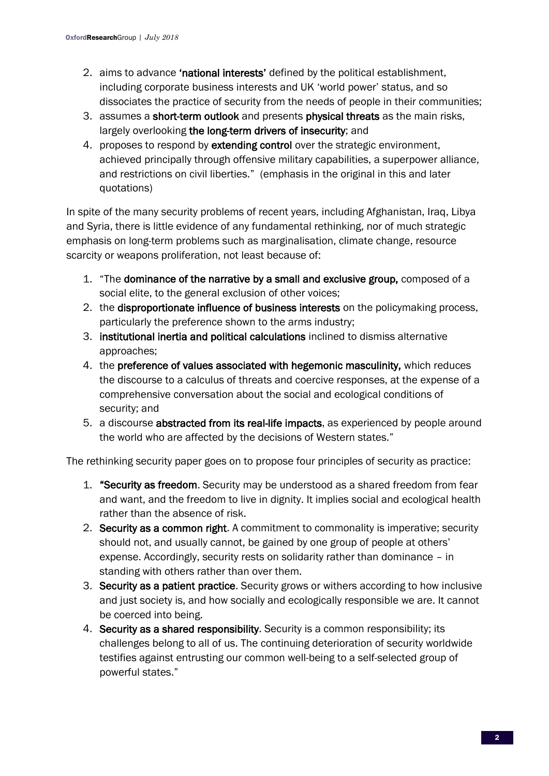- 2. aims to advance 'national interests' defined by the political establishment, including corporate business interests and UK 'world power' status, and so dissociates the practice of security from the needs of people in their communities;
- 3. assumes a short-term outlook and presents physical threats as the main risks, largely overlooking the long-term drivers of insecurity; and
- 4. proposes to respond by extending control over the strategic environment, achieved principally through offensive military capabilities, a superpower alliance, and restrictions on civil liberties." (emphasis in the original in this and later quotations)

In spite of the many security problems of recent years, including Afghanistan, Iraq, Libya and Syria, there is little evidence of any fundamental rethinking, nor of much strategic emphasis on long-term problems such as marginalisation, climate change, resource scarcity or weapons proliferation, not least because of:

- 1. "The dominance of the narrative by a small and exclusive group, composed of a social elite, to the general exclusion of other voices;
- 2. the disproportionate influence of business interests on the policymaking process, particularly the preference shown to the arms industry;
- 3. institutional inertia and political calculations inclined to dismiss alternative approaches;
- 4. the preference of values associated with hegemonic masculinity, which reduces the discourse to a calculus of threats and coercive responses, at the expense of a comprehensive conversation about the social and ecological conditions of security; and
- 5. a discourse abstracted from its real-life impacts, as experienced by people around the world who are affected by the decisions of Western states."

The rethinking security paper goes on to propose four principles of security as practice:

- 1. "Security as freedom. Security may be understood as a shared freedom from fear and want, and the freedom to live in dignity. It implies social and ecological health rather than the absence of risk.
- 2. Security as a common right. A commitment to commonality is imperative; security should not, and usually cannot, be gained by one group of people at others' expense. Accordingly, security rests on solidarity rather than dominance – in standing with others rather than over them.
- 3. Security as a patient practice. Security grows or withers according to how inclusive and just society is, and how socially and ecologically responsible we are. It cannot be coerced into being.
- 4. Security as a shared responsibility. Security is a common responsibility; its challenges belong to all of us. The continuing deterioration of security worldwide testifies against entrusting our common well-being to a self-selected group of powerful states."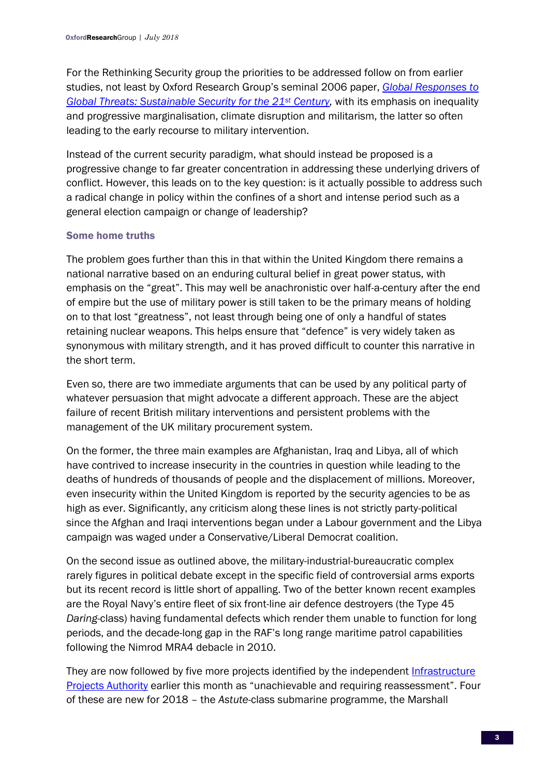For the Rethinking Security group the priorities to be addressed follow on from earlier studies, not least by Oxford Research Group's seminal 2006 paper, *[Global Responses to](https://www.oxfordresearchgroup.org.uk/global-responses-to-global-threats-sustainable-security-for-the-21st-century)  [Global Threats: Sustainable Security for the 21](https://www.oxfordresearchgroup.org.uk/global-responses-to-global-threats-sustainable-security-for-the-21st-century)st Century,* with its emphasis on inequality and progressive marginalisation, climate disruption and militarism, the latter so often leading to the early recourse to military intervention.

Instead of the current security paradigm, what should instead be proposed is a progressive change to far greater concentration in addressing these underlying drivers of conflict. However, this leads on to the key question: is it actually possible to address such a radical change in policy within the confines of a short and intense period such as a general election campaign or change of leadership?

# Some home truths

The problem goes further than this in that within the United Kingdom there remains a national narrative based on an enduring cultural belief in great power status, with emphasis on the "great". This may well be anachronistic over half-a-century after the end of empire but the use of military power is still taken to be the primary means of holding on to that lost "greatness", not least through being one of only a handful of states retaining nuclear weapons. This helps ensure that "defence" is very widely taken as synonymous with military strength, and it has proved difficult to counter this narrative in the short term.

Even so, there are two immediate arguments that can be used by any political party of whatever persuasion that might advocate a different approach. These are the abject failure of recent British military interventions and persistent problems with the management of the UK military procurement system.

On the former, the three main examples are Afghanistan, Iraq and Libya, all of which have contrived to increase insecurity in the countries in question while leading to the deaths of hundreds of thousands of people and the displacement of millions. Moreover, even insecurity within the United Kingdom is reported by the security agencies to be as high as ever. Significantly, any criticism along these lines is not strictly party-political since the Afghan and Iraqi interventions began under a Labour government and the Libya campaign was waged under a Conservative/Liberal Democrat coalition.

On the second issue as outlined above, the military-industrial-bureaucratic complex rarely figures in political debate except in the specific field of controversial arms exports but its recent record is little short of appalling. Two of the better known recent examples are the Royal Navy's entire fleet of six front-line air defence destroyers (the Type 45 *Daring-*class) having fundamental defects which render them unable to function for long periods, and the decade-long gap in the RAF's long range maritime patrol capabilities following the Nimrod MRA4 debacle in 2010.

They are now followed by five more projects identified by the independent [Infrastructure](https://assets.publishing.service.gov.uk/government/uploads/system/uploads/attachment_data/file/721978/IPA_Annual_Report_2018__2_.pdf)  [Projects Authority](https://assets.publishing.service.gov.uk/government/uploads/system/uploads/attachment_data/file/721978/IPA_Annual_Report_2018__2_.pdf) earlier this month as "unachievable and requiring reassessment". Four of these are new for 2018 – the *Astute*-class submarine programme, the Marshall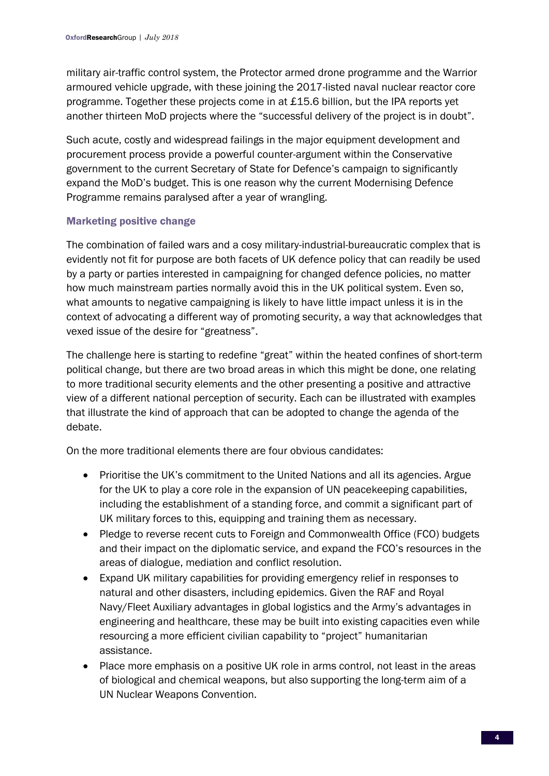military air-traffic control system, the Protector armed drone programme and the Warrior armoured vehicle upgrade, with these joining the 2017-listed naval nuclear reactor core programme. Together these projects come in at £15.6 billion, but the IPA reports yet another thirteen MoD projects where the "successful delivery of the project is in doubt".

Such acute, costly and widespread failings in the major equipment development and procurement process provide a powerful counter-argument within the Conservative government to the current Secretary of State for Defence's campaign to significantly expand the MoD's budget. This is one reason why the current Modernising Defence Programme remains paralysed after a year of wrangling.

# Marketing positive change

The combination of failed wars and a cosy military-industrial-bureaucratic complex that is evidently not fit for purpose are both facets of UK defence policy that can readily be used by a party or parties interested in campaigning for changed defence policies, no matter how much mainstream parties normally avoid this in the UK political system. Even so, what amounts to negative campaigning is likely to have little impact unless it is in the context of advocating a different way of promoting security, a way that acknowledges that vexed issue of the desire for "greatness".

The challenge here is starting to redefine "great" within the heated confines of short-term political change, but there are two broad areas in which this might be done, one relating to more traditional security elements and the other presenting a positive and attractive view of a different national perception of security. Each can be illustrated with examples that illustrate the kind of approach that can be adopted to change the agenda of the debate.

On the more traditional elements there are four obvious candidates:

- Prioritise the UK's commitment to the United Nations and all its agencies. Argue for the UK to play a core role in the expansion of UN peacekeeping capabilities, including the establishment of a standing force, and commit a significant part of UK military forces to this, equipping and training them as necessary.
- Pledge to reverse recent cuts to Foreign and Commonwealth Office (FCO) budgets and their impact on the diplomatic service, and expand the FCO's resources in the areas of dialogue, mediation and conflict resolution.
- Expand UK military capabilities for providing emergency relief in responses to natural and other disasters, including epidemics. Given the RAF and Royal Navy/Fleet Auxiliary advantages in global logistics and the Army's advantages in engineering and healthcare, these may be built into existing capacities even while resourcing a more efficient civilian capability to "project" humanitarian assistance.
- Place more emphasis on a positive UK role in arms control, not least in the areas of biological and chemical weapons, but also supporting the long-term aim of a UN Nuclear Weapons Convention.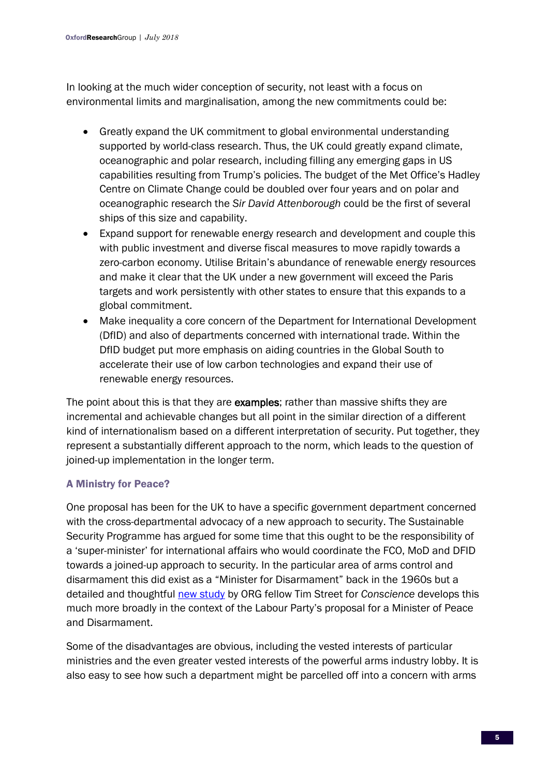In looking at the much wider conception of security, not least with a focus on environmental limits and marginalisation, among the new commitments could be:

- Greatly expand the UK commitment to global environmental understanding supported by world-class research. Thus, the UK could greatly expand climate, oceanographic and polar research, including filling any emerging gaps in US capabilities resulting from Trump's policies. The budget of the Met Office's Hadley Centre on Climate Change could be doubled over four years and on polar and oceanographic research the *Sir David Attenborough* could be the first of several ships of this size and capability.
- Expand support for renewable energy research and development and couple this with public investment and diverse fiscal measures to move rapidly towards a zero-carbon economy. Utilise Britain's abundance of renewable energy resources and make it clear that the UK under a new government will exceed the Paris targets and work persistently with other states to ensure that this expands to a global commitment.
- Make inequality a core concern of the Department for International Development (DfID) and also of departments concerned with international trade. Within the DfID budget put more emphasis on aiding countries in the Global South to accelerate their use of low carbon technologies and expand their use of renewable energy resources.

The point about this is that they are **examples**; rather than massive shifts they are incremental and achievable changes but all point in the similar direction of a different kind of internationalism based on a different interpretation of security. Put together, they represent a substantially different approach to the norm, which leads to the question of joined-up implementation in the longer term.

# A Ministry for Peace?

One proposal has been for the UK to have a specific government department concerned with the cross-departmental advocacy of a new approach to security. The Sustainable Security Programme has argued for some time that this ought to be the responsibility of a 'super-minister' for international affairs who would coordinate the FCO, MoD and DFID towards a joined-up approach to security. In the particular area of arms control and disarmament this did exist as a "Minister for Disarmament" back in the 1960s but a detailed and thoughtful [new study](http://www.conscienceonline.org.uk/minister-for-peace-and-disarmament/) by ORG fellow Tim Street for *Conscience* develops this much more broadly in the context of the Labour Party's proposal for a Minister of Peace and Disarmament.

Some of the disadvantages are obvious, including the vested interests of particular ministries and the even greater vested interests of the powerful arms industry lobby. It is also easy to see how such a department might be parcelled off into a concern with arms